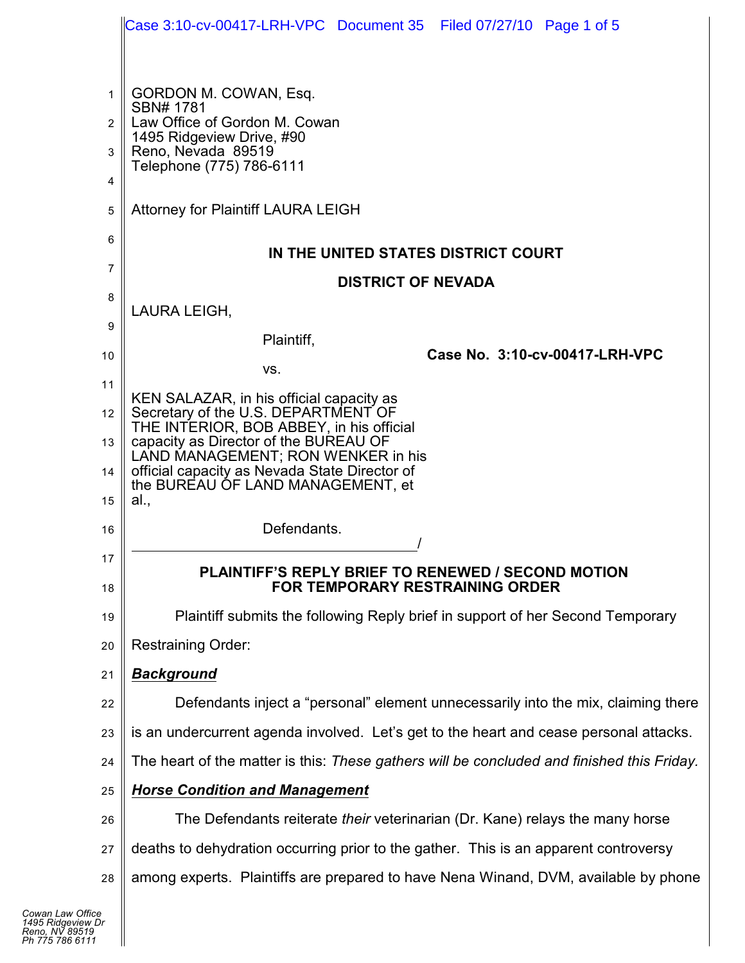|                | Case 3:10-cv-00417-LRH-VPC Document 35 Filed 07/27/10 Page 1 of 5                            |
|----------------|----------------------------------------------------------------------------------------------|
|                |                                                                                              |
| $\mathbf{1}$   | GORDON M. COWAN, Esq.                                                                        |
| 2              | SBN# 1781<br>Law Office of Gordon M. Cowan                                                   |
| 3              | 1495 Ridgeview Drive, #90<br>Reno, Nevada 89519                                              |
| 4              | Telephone (775) 786-6111                                                                     |
| 5              | Attorney for Plaintiff LAURA LEIGH                                                           |
| 6              |                                                                                              |
| $\overline{7}$ | IN THE UNITED STATES DISTRICT COURT                                                          |
| 8              | <b>DISTRICT OF NEVADA</b>                                                                    |
| 9              | LAURA LEIGH,                                                                                 |
| 10             | Plaintiff,<br>Case No. 3:10-cv-00417-LRH-VPC                                                 |
| 11             | VS.                                                                                          |
| 12             | KEN SALAZAR, in his official capacity as<br>Secretary of the U.S. DEPARTMENT OF              |
| 13             | THE INTERIOR, BOB ABBEY, in his official<br>capacity as Director of the BUREAU OF            |
| 14             | LAND MANAGEMENT; RON WENKER in his<br>official capacity as Nevada State Director of          |
| 15             | the BUREAU OF LAND MANAGEMENT, et<br>al.,                                                    |
| 16             | Defendants.                                                                                  |
| 17             |                                                                                              |
| 18             | <b>PLAINTIFF'S REPLY BRIEF TO RENEWED / SECOND MOTION</b><br>FOR TEMPORARY RESTRAINING ORDER |
| 19             | Plaintiff submits the following Reply brief in support of her Second Temporary               |
| 20             | <b>Restraining Order:</b>                                                                    |
| 21             | <b>Background</b>                                                                            |
| 22             | Defendants inject a "personal" element unnecessarily into the mix, claiming there            |
| 23             | is an undercurrent agenda involved. Let's get to the heart and cease personal attacks.       |
| 24             | The heart of the matter is this: These gathers will be concluded and finished this Friday.   |
| 25             | <b>Horse Condition and Management</b>                                                        |
| 26             | The Defendants reiterate their veterinarian (Dr. Kane) relays the many horse                 |
| 27             | deaths to dehydration occurring prior to the gather. This is an apparent controversy         |
| 28             | among experts. Plaintiffs are prepared to have Nena Winand, DVM, available by phone          |

 $\blacksquare$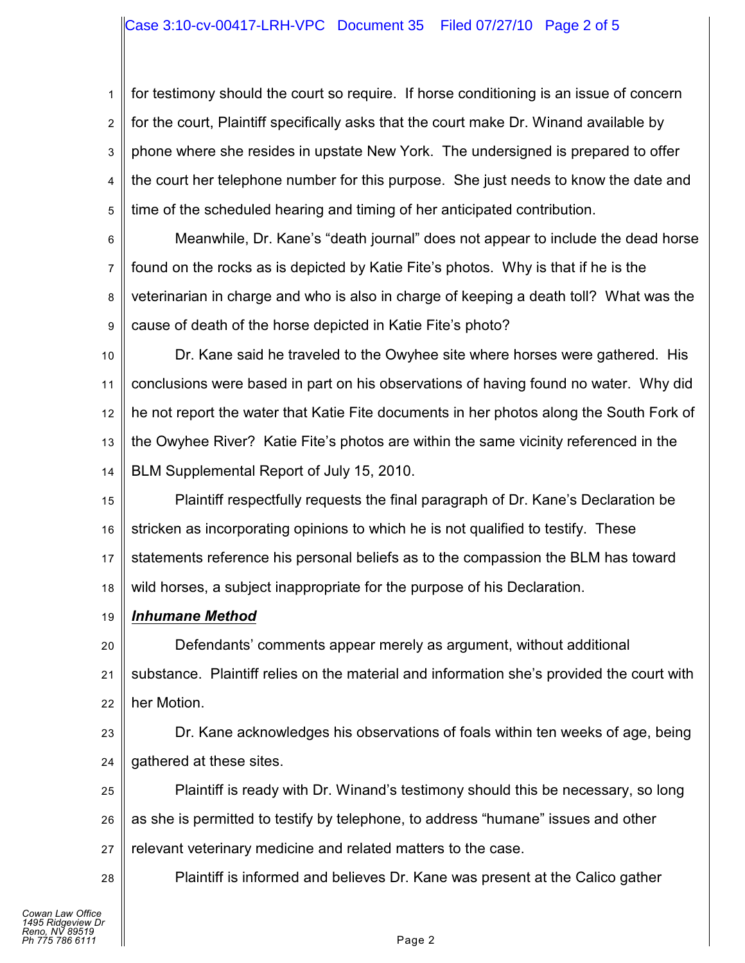# Case 3:10-cv-00417-LRH-VPC Document 35 Filed 07/27/10 Page 2 of 5

1 2 3 4 5 for testimony should the court so require. If horse conditioning is an issue of concern for the court, Plaintiff specifically asks that the court make Dr. Winand available by phone where she resides in upstate New York. The undersigned is prepared to offer the court her telephone number for this purpose. She just needs to know the date and time of the scheduled hearing and timing of her anticipated contribution.

6 7 8 9 Meanwhile, Dr. Kane's "death journal" does not appear to include the dead horse found on the rocks as is depicted by Katie Fite's photos. Why is that if he is the veterinarian in charge and who is also in charge of keeping a death toll? What was the cause of death of the horse depicted in Katie Fite's photo?

10 11 12 13 14 Dr. Kane said he traveled to the Owyhee site where horses were gathered. His conclusions were based in part on his observations of having found no water. Why did he not report the water that Katie Fite documents in her photos along the South Fork of the Owyhee River? Katie Fite's photos are within the same vicinity referenced in the BLM Supplemental Report of July 15, 2010.

15 16 17 18 Plaintiff respectfully requests the final paragraph of Dr. Kane's Declaration be stricken as incorporating opinions to which he is not qualified to testify. These statements reference his personal beliefs as to the compassion the BLM has toward wild horses, a subject inappropriate for the purpose of his Declaration.

19 *Inhumane Method*

20 21 22 Defendants' comments appear merely as argument, without additional substance. Plaintiff relies on the material and information she's provided the court with her Motion.

23 24 Dr. Kane acknowledges his observations of foals within ten weeks of age, being gathered at these sites.

25 26 27 Plaintiff is ready with Dr. Winand's testimony should this be necessary, so long as she is permitted to testify by telephone, to address "humane" issues and other relevant veterinary medicine and related matters to the case.

Plaintiff is informed and believes Dr. Kane was present at the Calico gather

28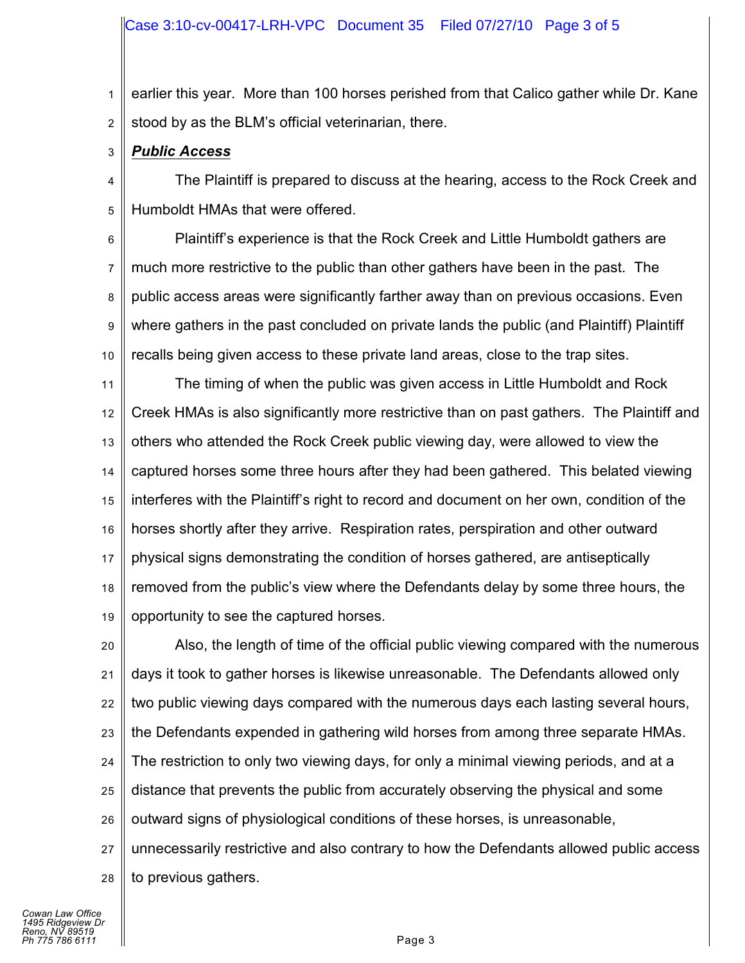1 2 earlier this year. More than 100 horses perished from that Calico gather while Dr. Kane stood by as the BLM's official veterinarian, there.

3 *Public Access*

4 5 The Plaintiff is prepared to discuss at the hearing, access to the Rock Creek and Humboldt HMAs that were offered.

6 7 8 9 10 Plaintiff's experience is that the Rock Creek and Little Humboldt gathers are much more restrictive to the public than other gathers have been in the past. The public access areas were significantly farther away than on previous occasions. Even where gathers in the past concluded on private lands the public (and Plaintiff) Plaintiff recalls being given access to these private land areas, close to the trap sites.

11 12 13 14 15 16 17 18 19 The timing of when the public was given access in Little Humboldt and Rock Creek HMAs is also significantly more restrictive than on past gathers. The Plaintiff and others who attended the Rock Creek public viewing day, were allowed to view the captured horses some three hours after they had been gathered. This belated viewing interferes with the Plaintiff's right to record and document on her own, condition of the horses shortly after they arrive. Respiration rates, perspiration and other outward physical signs demonstrating the condition of horses gathered, are antiseptically removed from the public's view where the Defendants delay by some three hours, the opportunity to see the captured horses.

20 21 22 23 24 25 26 27 28 Also, the length of time of the official public viewing compared with the numerous days it took to gather horses is likewise unreasonable. The Defendants allowed only two public viewing days compared with the numerous days each lasting several hours, the Defendants expended in gathering wild horses from among three separate HMAs. The restriction to only two viewing days, for only a minimal viewing periods, and at a distance that prevents the public from accurately observing the physical and some outward signs of physiological conditions of these horses, is unreasonable, unnecessarily restrictive and also contrary to how the Defendants allowed public access to previous gathers.

*Cowan Law Office 1495 Ridgeview Dr Reno, NV 89519 Ph 775 786 6111* Page 3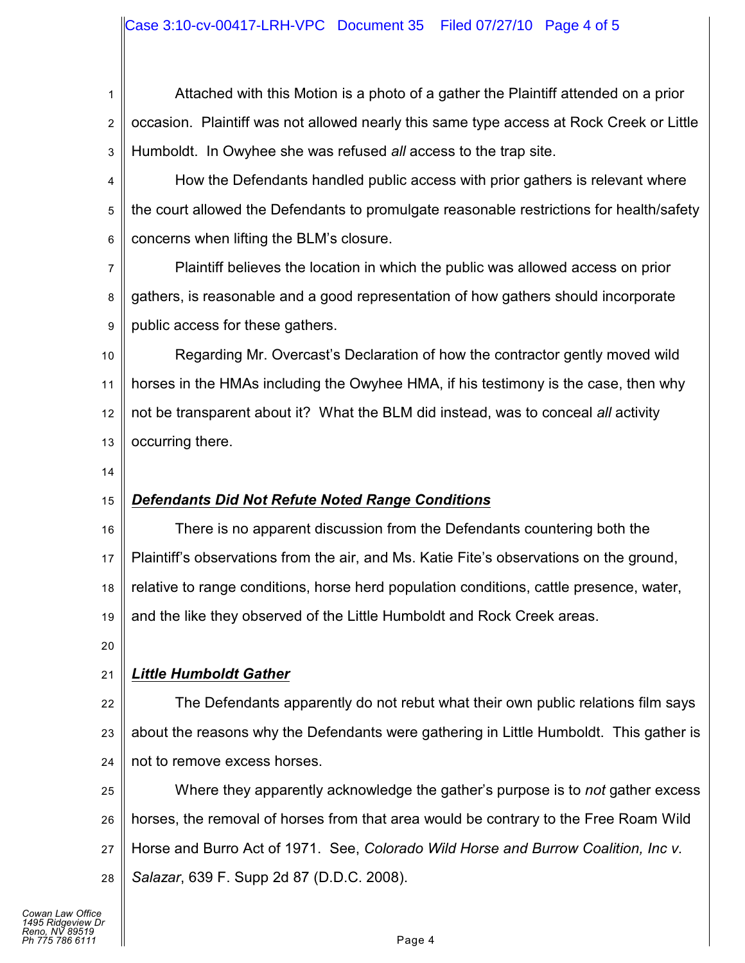# Case 3:10-cv-00417-LRH-VPC Document 35 Filed 07/27/10 Page 4 of 5

1 2 3 Attached with this Motion is a photo of a gather the Plaintiff attended on a prior occasion. Plaintiff was not allowed nearly this same type access at Rock Creek or Little Humboldt. In Owyhee she was refused *all* access to the trap site.

4 5 6 How the Defendants handled public access with prior gathers is relevant where the court allowed the Defendants to promulgate reasonable restrictions for health/safety concerns when lifting the BLM's closure.

7 8 9 Plaintiff believes the location in which the public was allowed access on prior gathers, is reasonable and a good representation of how gathers should incorporate public access for these gathers.

10 11 12 13 Regarding Mr. Overcast's Declaration of how the contractor gently moved wild horses in the HMAs including the Owyhee HMA, if his testimony is the case, then why not be transparent about it? What the BLM did instead, was to conceal *all* activity occurring there.

14

### 15 *Defendants Did Not Refute Noted Range Conditions*

16 17 18 19 There is no apparent discussion from the Defendants countering both the Plaintiff's observations from the air, and Ms. Katie Fite's observations on the ground, relative to range conditions, horse herd population conditions, cattle presence, water, and the like they observed of the Little Humboldt and Rock Creek areas.

20

#### 21 *Little Humboldt Gather*

22 23 24 The Defendants apparently do not rebut what their own public relations film says about the reasons why the Defendants were gathering in Little Humboldt. This gather is not to remove excess horses.

25 26 27 28 Where they apparently acknowledge the gather's purpose is to *not* gather excess horses, the removal of horses from that area would be contrary to the Free Roam Wild Horse and Burro Act of 1971. See, *Colorado Wild Horse and Burrow Coalition, Inc v. Salazar*, 639 F. Supp 2d 87 (D.D.C. 2008).

*Cowan Law Office 1495 Ridgeview Dr Reno, NV 89519 Ph 775 786 6111* Page 4